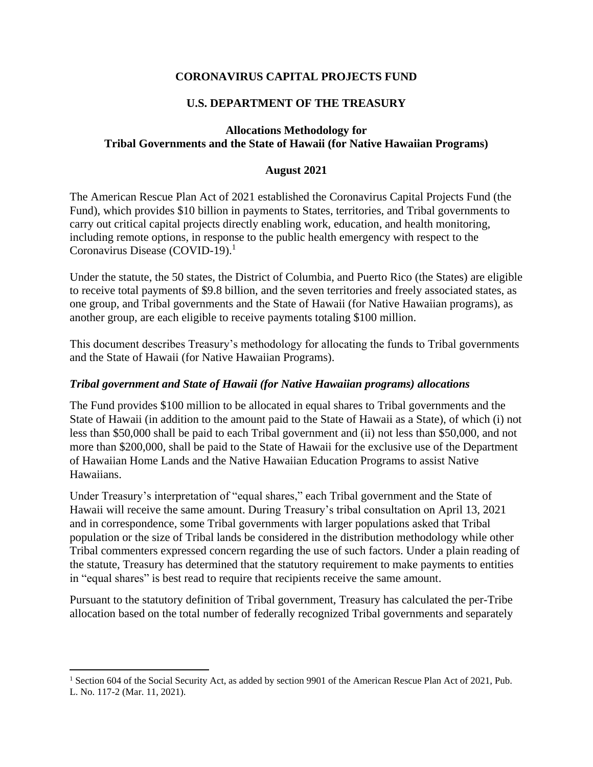# **CORONAVIRUS CAPITAL PROJECTS FUND**

## **U.S. DEPARTMENT OF THE TREASURY**

### **Allocations Methodology for Tribal Governments and the State of Hawaii (for Native Hawaiian Programs)**

### **August 2021**

The American Rescue Plan Act of 2021 established the Coronavirus Capital Projects Fund (the Fund), which provides \$10 billion in payments to States, territories, and Tribal governments to carry out critical capital projects directly enabling work, education, and health monitoring, including remote options, in response to the public health emergency with respect to the Coronavirus Disease (COVID-19).<sup>1</sup>

Under the statute, the 50 states, the District of Columbia, and Puerto Rico (the States) are eligible to receive total payments of \$9.8 billion, and the seven territories and freely associated states, as one group, and Tribal governments and the State of Hawaii (for Native Hawaiian programs), as another group, are each eligible to receive payments totaling \$100 million.

This document describes Treasury's methodology for allocating the funds to Tribal governments and the State of Hawaii (for Native Hawaiian Programs).

#### *Tribal government and State of Hawaii (for Native Hawaiian programs) allocations*

The Fund provides \$100 million to be allocated in equal shares to Tribal governments and the State of Hawaii (in addition to the amount paid to the State of Hawaii as a State), of which (i) not less than \$50,000 shall be paid to each Tribal government and (ii) not less than \$50,000, and not more than \$200,000, shall be paid to the State of Hawaii for the exclusive use of the Department of Hawaiian Home Lands and the Native Hawaiian Education Programs to assist Native Hawaiians.

Under Treasury's interpretation of "equal shares," each Tribal government and the State of Hawaii will receive the same amount. During Treasury's tribal consultation on April 13, 2021 and in correspondence, some Tribal governments with larger populations asked that Tribal population or the size of Tribal lands be considered in the distribution methodology while other Tribal commenters expressed concern regarding the use of such factors. Under a plain reading of the statute, Treasury has determined that the statutory requirement to make payments to entities in "equal shares" is best read to require that recipients receive the same amount.

Pursuant to the statutory definition of Tribal government, Treasury has calculated the per-Tribe allocation based on the total number of federally recognized Tribal governments and separately

<sup>&</sup>lt;sup>1</sup> Section 604 of the Social Security Act, as added by section 9901 of the American Rescue Plan Act of 2021, Pub. L. No. 117-2 (Mar. 11, 2021).